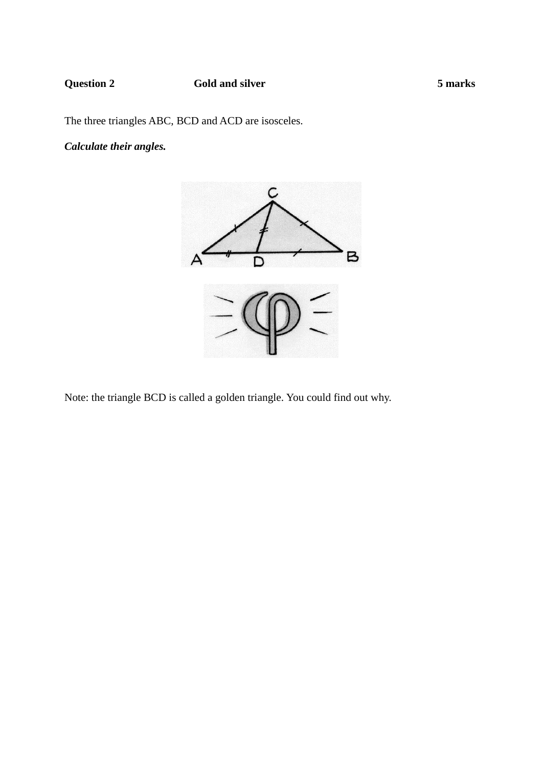## **Question 2** Gold and silver 5 marks

The three triangles ABC, BCD and ACD are isosceles.

# *Calculate their angles.*



Note: the triangle BCD is called a golden triangle. You could find out why.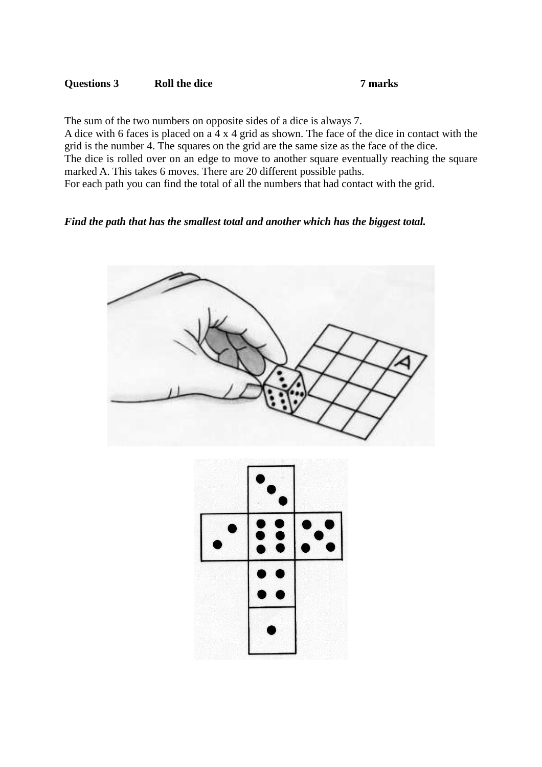### **Questions 3 Roll the dice 7 marks**

The sum of the two numbers on opposite sides of a dice is always 7. A dice with 6 faces is placed on a 4 x 4 grid as shown. The face of the dice in contact with the grid is the number 4. The squares on the grid are the same size as the face of the dice. The dice is rolled over on an edge to move to another square eventually reaching the square marked A. This takes 6 moves. There are 20 different possible paths. For each path you can find the total of all the numbers that had contact with the grid.

### *Find the path that has the smallest total and another which has the biggest total.*



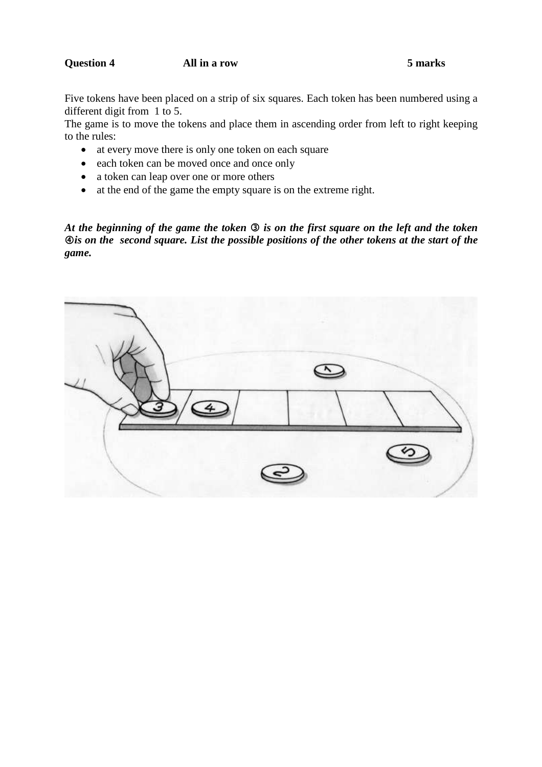### **Question 4 All in a row 5 marks**

Five tokens have been placed on a strip of six squares. Each token has been numbered using a different digit from 1 to 5.

The game is to move the tokens and place them in ascending order from left to right keeping to the rules:

- at every move there is only one token on each square
- each token can be moved once and once only
- a token can leap over one or more others
- at the end of the game the empty square is on the extreme right.

*At the beginning of the game the token is on the first square on the left and the token*  $\Phi$ **is on the second square. List the possible positions of the other tokens at the start of the** *game.*

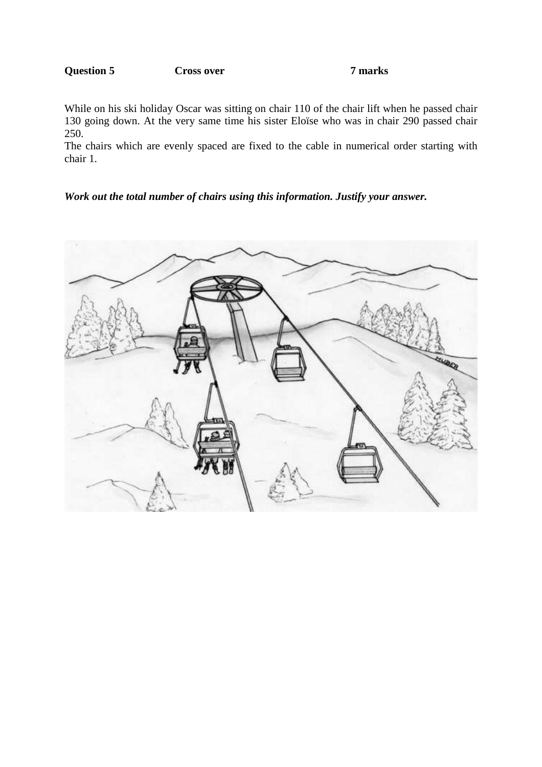# **Question 5** Cross over 7 marks

While on his ski holiday Oscar was sitting on chair 110 of the chair lift when he passed chair 130 going down. At the very same time his sister Eloïse who was in chair 290 passed chair 250.

The chairs which are evenly spaced are fixed to the cable in numerical order starting with chair 1.

### *Work out the total number of chairs using this information. Justify your answer.*

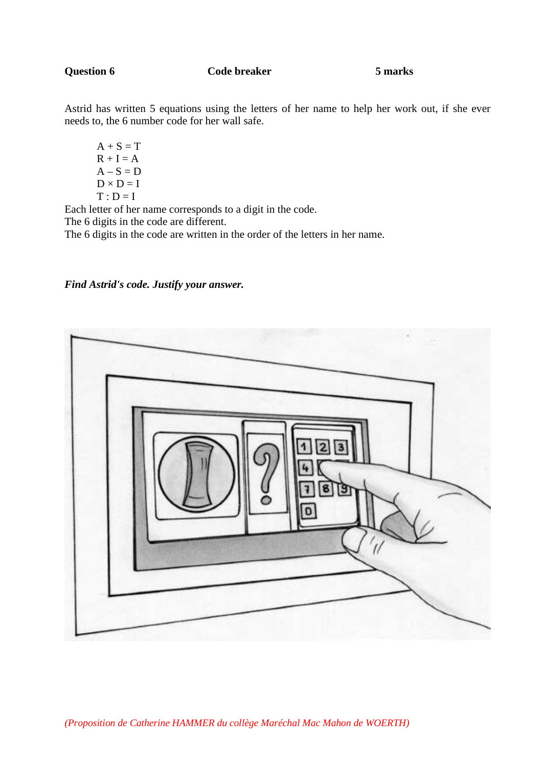**Code breaker 5 marks** 

Astrid has written 5 equations using the letters of her name to help her work out, if she ever needs to, the 6 number code for her wall safe.

 $A + S = T$  $R + I = A$  $A - S = D$  $D \times D = I$  $T : D = I$ 

Each letter of her name corresponds to a digit in the code.

The 6 digits in the code are different.

The 6 digits in the code are written in the order of the letters in her name.

### *Find Astrid's code. Justify your answer.*

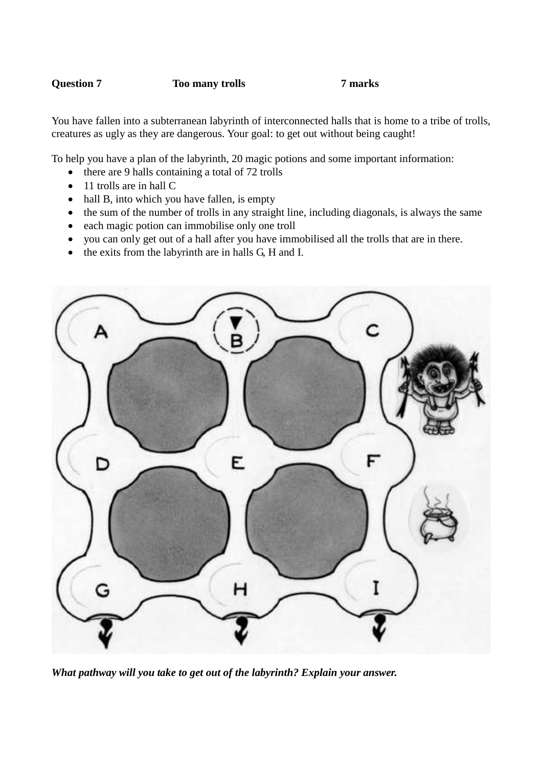### **Question 7** Too many trolls 7 marks

You have fallen into a subterranean labyrinth of interconnected halls that is home to a tribe of trolls, creatures as ugly as they are dangerous. Your goal: to get out without being caught!

To help you have a plan of the labyrinth, 20 magic potions and some important information:

- there are 9 halls containing a total of 72 trolls
- 11 trolls are in hall C
- hall B, into which you have fallen, is empty
- the sum of the number of trolls in any straight line, including diagonals, is always the same
- each magic potion can immobilise only one troll
- you can only get out of a hall after you have immobilised all the trolls that are in there.
- the exits from the labyrinth are in halls G, H and I.



*What pathway will you take to get out of the labyrinth? Explain your answer.*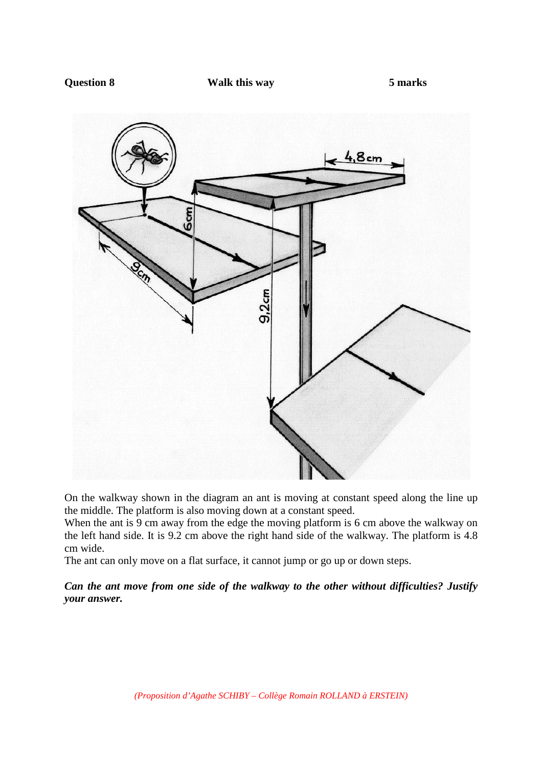### **Question 8 Walk this way 5 marks**



On the walkway shown in the diagram an ant is moving at constant speed along the line up the middle. The platform is also moving down at a constant speed.

When the ant is 9 cm away from the edge the moving platform is 6 cm above the walkway on the left hand side. It is 9.2 cm above the right hand side of the walkway. The platform is 4.8 cm wide.

The ant can only move on a flat surface, it cannot jump or go up or down steps.

*Can the ant move from one side of the walkway to the other without difficulties? Justify your answer.*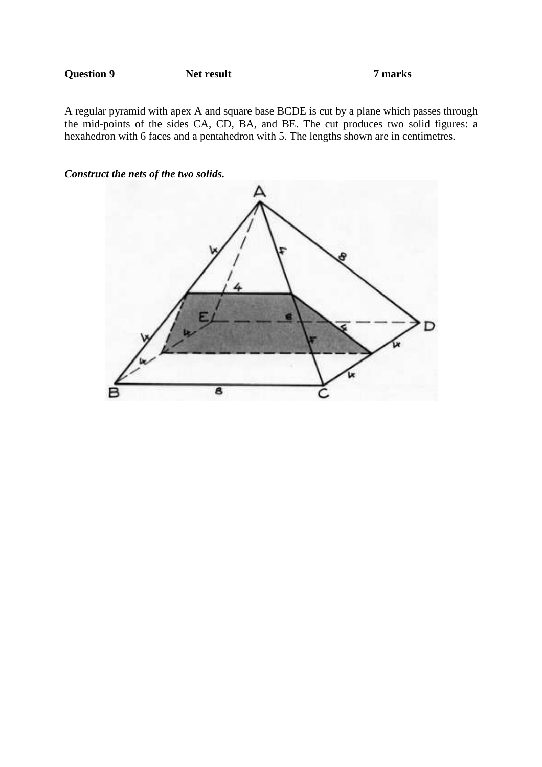**Question 9** Net result 7 marks

A regular pyramid with apex A and square base BCDE is cut by a plane which passes through the mid-points of the sides CA, CD, BA, and BE. The cut produces two solid figures: a hexahedron with 6 faces and a pentahedron with 5. The lengths shown are in centimetres.



*Construct the nets of the two solids.*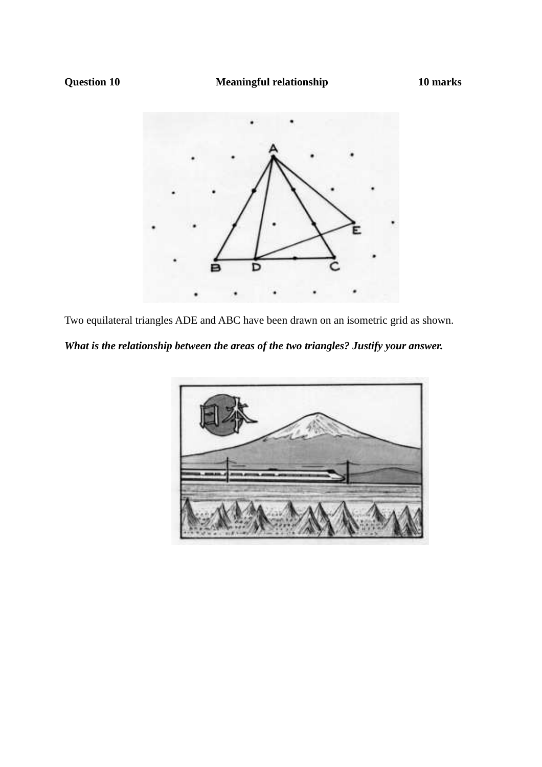

Two equilateral triangles ADE and ABC have been drawn on an isometric grid as shown.

*What is the relationship between the areas of the two triangles? Justify your answer.*

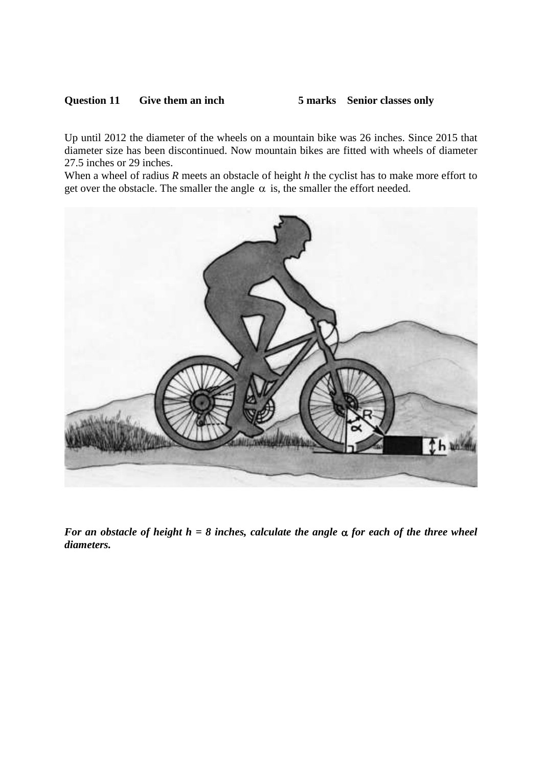### **Question 11 Give them an inch 5 marks Senior classes only**

Up until 2012 the diameter of the wheels on a mountain bike was 26 inches. Since 2015 that diameter size has been discontinued. Now mountain bikes are fitted with wheels of diameter 27.5 inches or 29 inches.

When a wheel of radius *R* meets an obstacle of height *h* the cyclist has to make more effort to get over the obstacle. The smaller the angle  $\alpha$  is, the smaller the effort needed.



*For an obstacle of height h = 8 inches, calculate the angle*  $\alpha$  *for each of the three wheel diameters.*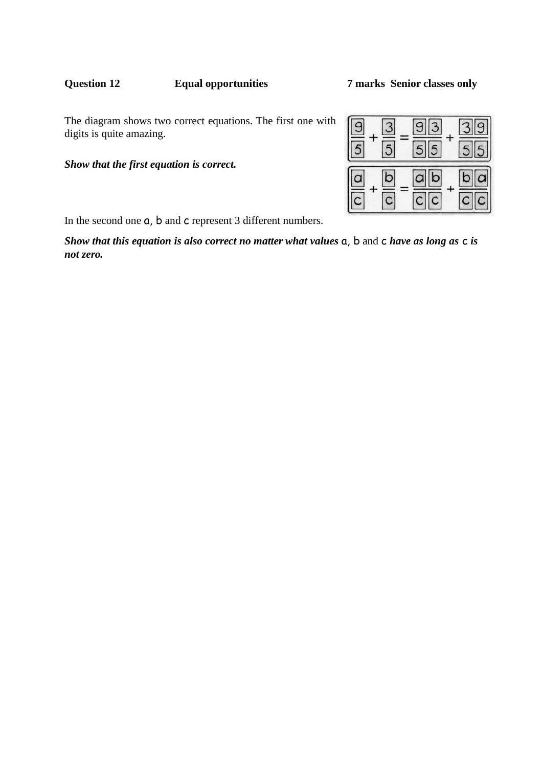# **Question 12 Equal opportunities 7 marks Senior classes only**

### The diagram shows two correct equations. The first one with digits is quite amazing.

*Show that the first equation is correct.*

In the second one  $a$ , b and c represent 3 different numbers.

*Show that this equation is also correct no matter what values* a, b and c *have as long as* c *is not zero.*

# $\overline{5}$ 5  $\overline{b}$ b a  $\overline{C}$ C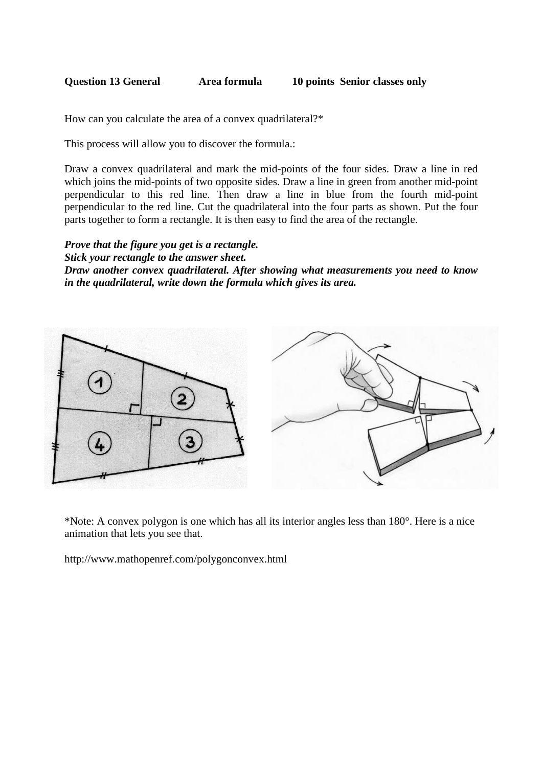| <b>Question 13 General</b> | Area formula | 10 points Senior classes only |
|----------------------------|--------------|-------------------------------|
|                            |              |                               |

How can you calculate the area of a convex quadrilateral?\*

This process will allow you to discover the formula.:

Draw a convex quadrilateral and mark the mid-points of the four sides. Draw a line in red which joins the mid-points of two opposite sides. Draw a line in green from another mid-point perpendicular to this red line. Then draw a line in blue from the fourth mid-point perpendicular to the red line. Cut the quadrilateral into the four parts as shown. Put the four parts together to form a rectangle. It is then easy to find the area of the rectangle.

*Prove that the figure you get is a rectangle. Stick your rectangle to the answer sheet. Draw another convex quadrilateral. After showing what measurements you need to know in the quadrilateral, write down the formula which gives its area.*



\*Note: A convex polygon is one which has all its interior angles less than 180°. Here is a nice animation that lets you see that.

http://www.mathopenref.com/polygonconvex.html